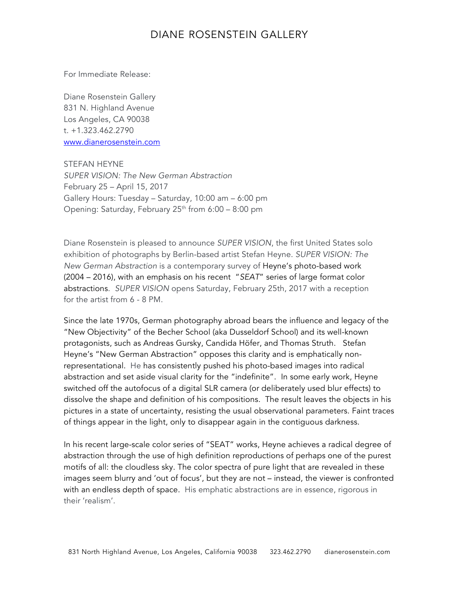## DIANE ROSENSTEIN GALLERY

For Immediate Release:

Diane Rosenstein Gallery 831 N. Highland Avenue Los Angeles, CA 90038 t. +1.323.462.2790 www.dianerosenstein.com

STEFAN HEYNE *SUPER VISION: The New German Abstraction* February 25 – April 15, 2017 Gallery Hours: Tuesday – Saturday, 10:00 am – 6:00 pm Opening: Saturday, February  $25<sup>th</sup>$  from 6:00 – 8:00 pm

Diane Rosenstein is pleased to announce *SUPER VISION*, the first United States solo exhibition of photographs by Berlin-based artist Stefan Heyne. *SUPER VISION: The New German Abstraction* is a contemporary survey of Heyne's photo-based work (2004 – 2016), with an emphasis on his recent "*SEAT*" series of large format color abstractions. *SUPER VISION* opens Saturday, February 25th, 2017 with a reception for the artist from 6 - 8 PM.

Since the late 1970s, German photography abroad bears the influence and legacy of the "New Objectivity" of the Becher School (aka Dusseldorf School) and its well-known protagonists, such as Andreas Gursky, Candida Höfer, and Thomas Struth. Stefan Heyne's "New German Abstraction" opposes this clarity and is emphatically nonrepresentational. He has consistently pushed his photo-based images into radical abstraction and set aside visual clarity for the "indefinite". In some early work, Heyne switched off the autofocus of a digital SLR camera (or deliberately used blur effects) to dissolve the shape and definition of his compositions. The result leaves the objects in his pictures in a state of uncertainty, resisting the usual observational parameters. Faint traces of things appear in the light, only to disappear again in the contiguous darkness.

In his recent large-scale color series of "SEAT" works, Heyne achieves a radical degree of abstraction through the use of high definition reproductions of perhaps one of the purest motifs of all: the cloudless sky. The color spectra of pure light that are revealed in these images seem blurry and 'out of focus', but they are not – instead, the viewer is confronted with an endless depth of space. His emphatic abstractions are in essence, rigorous in their 'realism'.